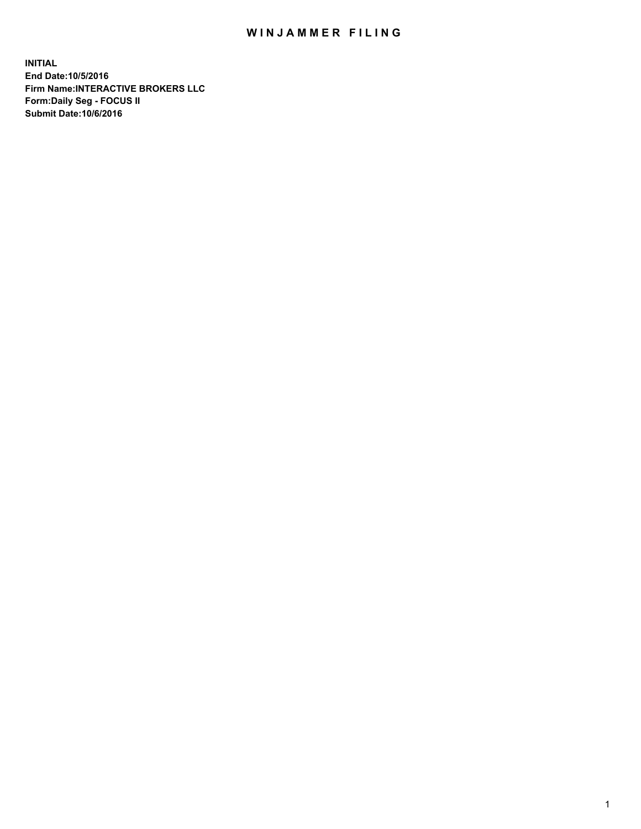## WIN JAMMER FILING

**INITIAL End Date:10/5/2016 Firm Name:INTERACTIVE BROKERS LLC Form:Daily Seg - FOCUS II Submit Date:10/6/2016**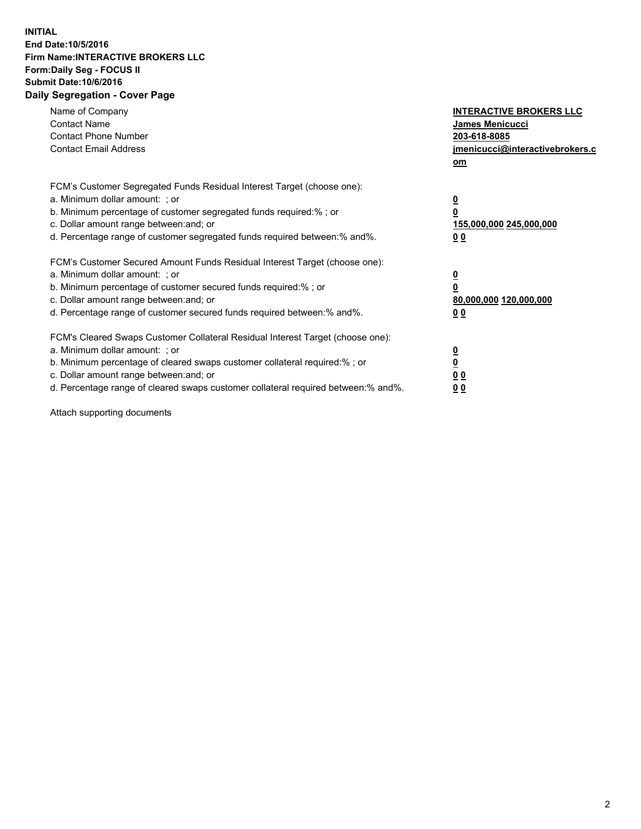## **INITIAL End Date:10/5/2016 Firm Name:INTERACTIVE BROKERS LLC Form:Daily Seg - FOCUS II Submit Date:10/6/2016 Daily Segregation - Cover Page**

| Name of Company<br><b>Contact Name</b><br><b>Contact Phone Number</b><br><b>Contact Email Address</b>                                                                                                                                                                                                                          | <b>INTERACTIVE BROKERS LLC</b><br>James Menicucci<br>203-618-8085<br>jmenicucci@interactivebrokers.c<br>om |
|--------------------------------------------------------------------------------------------------------------------------------------------------------------------------------------------------------------------------------------------------------------------------------------------------------------------------------|------------------------------------------------------------------------------------------------------------|
| FCM's Customer Segregated Funds Residual Interest Target (choose one):<br>a. Minimum dollar amount: ; or<br>b. Minimum percentage of customer segregated funds required:%; or<br>c. Dollar amount range between: and; or<br>d. Percentage range of customer segregated funds required between:% and%.                          | $\overline{\mathbf{0}}$<br>0<br>155,000,000 245,000,000<br>0 <sub>0</sub>                                  |
| FCM's Customer Secured Amount Funds Residual Interest Target (choose one):<br>a. Minimum dollar amount: ; or<br>b. Minimum percentage of customer secured funds required:%; or<br>c. Dollar amount range between: and; or<br>d. Percentage range of customer secured funds required between:% and%.                            | $\overline{\mathbf{0}}$<br>$\overline{\mathbf{0}}$<br>80,000,000 120,000,000<br>00                         |
| FCM's Cleared Swaps Customer Collateral Residual Interest Target (choose one):<br>a. Minimum dollar amount: ; or<br>b. Minimum percentage of cleared swaps customer collateral required:% ; or<br>c. Dollar amount range between: and; or<br>d. Percentage range of cleared swaps customer collateral required between:% and%. | $\overline{\mathbf{0}}$<br>$\overline{\mathbf{0}}$<br>0 <sub>0</sub><br><u>00</u>                          |

Attach supporting documents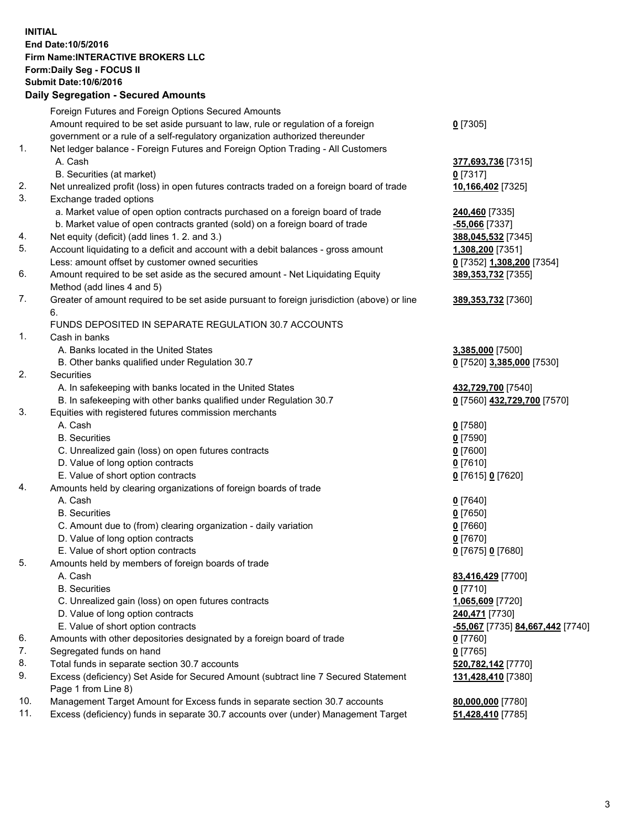## **INITIAL End Date:10/5/2016 Firm Name:INTERACTIVE BROKERS LLC Form:Daily Seg - FOCUS II Submit Date:10/6/2016 Daily Segregation - Secured Amounts**

| Dany Ocgregation - Oceanea Annoanta                                                         |                                                                                    |
|---------------------------------------------------------------------------------------------|------------------------------------------------------------------------------------|
| Foreign Futures and Foreign Options Secured Amounts                                         |                                                                                    |
| Amount required to be set aside pursuant to law, rule or regulation of a foreign            | $0$ [7305]                                                                         |
| government or a rule of a self-regulatory organization authorized thereunder                |                                                                                    |
| Net ledger balance - Foreign Futures and Foreign Option Trading - All Customers             |                                                                                    |
| A. Cash                                                                                     | 377,693,736 [7315]                                                                 |
| B. Securities (at market)                                                                   | $0$ [7317]                                                                         |
| Net unrealized profit (loss) in open futures contracts traded on a foreign board of trade   | 10,166,402 [7325]                                                                  |
| Exchange traded options                                                                     |                                                                                    |
| a. Market value of open option contracts purchased on a foreign board of trade              | 240,460 [7335]                                                                     |
| b. Market value of open contracts granted (sold) on a foreign board of trade                | $-55,066$ [7337]                                                                   |
| Net equity (deficit) (add lines 1.2. and 3.)                                                | 388,045,532 [7345]                                                                 |
| Account liquidating to a deficit and account with a debit balances - gross amount           | 1,308,200 [7351]                                                                   |
| Less: amount offset by customer owned securities                                            | 0 [7352] 1,308,200 [7354]                                                          |
| Amount required to be set aside as the secured amount - Net Liquidating Equity              | 389, 353, 732 [7355]                                                               |
| Method (add lines 4 and 5)                                                                  |                                                                                    |
| Greater of amount required to be set aside pursuant to foreign jurisdiction (above) or line | 389, 353, 732 [7360]                                                               |
| 6.                                                                                          |                                                                                    |
| FUNDS DEPOSITED IN SEPARATE REGULATION 30.7 ACCOUNTS                                        |                                                                                    |
| Cash in banks                                                                               |                                                                                    |
| A. Banks located in the United States                                                       | 3,385,000 [7500]                                                                   |
| B. Other banks qualified under Regulation 30.7                                              | 0 [7520] 3,385,000 [7530]                                                          |
| Securities                                                                                  |                                                                                    |
| A. In safekeeping with banks located in the United States                                   | 432,729,700 [7540]                                                                 |
| B. In safekeeping with other banks qualified under Regulation 30.7                          | 0 [7560] 432,729,700 [7570]                                                        |
| Equities with registered futures commission merchants                                       |                                                                                    |
| A. Cash                                                                                     | $0$ [7580]                                                                         |
| <b>B.</b> Securities                                                                        | $0$ [7590]                                                                         |
| C. Unrealized gain (loss) on open futures contracts                                         | $0$ [7600]                                                                         |
| D. Value of long option contracts                                                           | $0$ [7610]                                                                         |
| E. Value of short option contracts                                                          | 0 [7615] 0 [7620]                                                                  |
| Amounts held by clearing organizations of foreign boards of trade                           |                                                                                    |
| A. Cash                                                                                     | $0$ [7640]                                                                         |
| <b>B.</b> Securities                                                                        | $0$ [7650]                                                                         |
| C. Amount due to (from) clearing organization - daily variation                             | $0$ [7660]                                                                         |
| D. Value of long option contracts                                                           | $0$ [7670]                                                                         |
| E. Value of short option contracts                                                          | 0 [7675] 0 [7680]                                                                  |
| Amounts held by members of foreign boards of trade                                          |                                                                                    |
| A. Cash                                                                                     | 83,416,429 [7700]                                                                  |
| <b>B.</b> Securities                                                                        | $0$ [7710]                                                                         |
| C. Unrealized gain (loss) on open futures contracts                                         | 1,065,609 [7720]                                                                   |
| D. Value of long option contracts                                                           | 240,471 [7730]                                                                     |
| E. Value of short option contracts                                                          | -55,067 [7735] 84,667,442 [7740]                                                   |
| Amounts with other depositories designated by a foreign board of trade                      | 0 [7760]                                                                           |
| Segregated funds on hand                                                                    | $0$ [7765]                                                                         |
| Total funds in separate section 30.7 accounts                                               | 520,782,142 [7770]                                                                 |
| Excess (deficiency) Set Aside for Secured Amount (subtract line 7 Secured Statement         | 131,428,410 [7380]                                                                 |
| Page 1 from Line 8)                                                                         |                                                                                    |
| Management Target Amount for Excess funds in separate section 30.7 accounts                 | 80,000,000 [7780]                                                                  |
|                                                                                             | 51,428,410 [7785]                                                                  |
|                                                                                             | Excess (deficiency) funds in separate 30.7 accounts over (under) Management Target |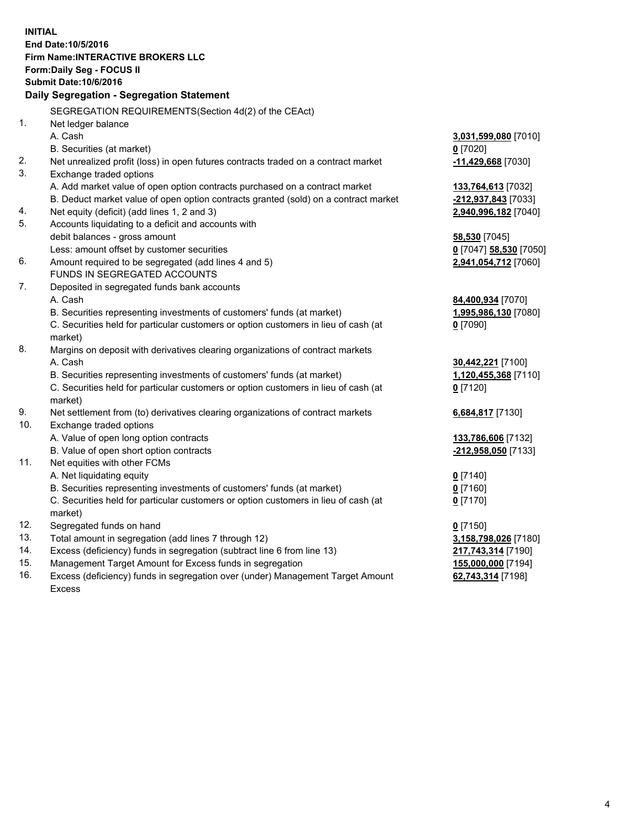**INITIAL End Date:10/5/2016 Firm Name:INTERACTIVE BROKERS LLC Form:Daily Seg - FOCUS II Submit Date:10/6/2016 Daily Segregation - Segregation Statement** SEGREGATION REQUIREMENTS(Section 4d(2) of the CEAct) 1. Net ledger balance A. Cash **3,031,599,080** [7010] B. Securities (at market) **0** [7020] 2. Net unrealized profit (loss) in open futures contracts traded on a contract market **-11,429,668** [7030] 3. Exchange traded options A. Add market value of open option contracts purchased on a contract market **133,764,613** [7032] B. Deduct market value of open option contracts granted (sold) on a contract market **-212,937,843** [7033] 4. Net equity (deficit) (add lines 1, 2 and 3) **2,940,996,182** [7040] 5. Accounts liquidating to a deficit and accounts with debit balances - gross amount **58,530** [7045] Less: amount offset by customer securities **0** [7047] **58,530** [7050] 6. Amount required to be segregated (add lines 4 and 5) **2,941,054,712** [7060] FUNDS IN SEGREGATED ACCOUNTS 7. Deposited in segregated funds bank accounts A. Cash **84,400,934** [7070] B. Securities representing investments of customers' funds (at market) **1,995,986,130** [7080] C. Securities held for particular customers or option customers in lieu of cash (at market) **0** [7090] 8. Margins on deposit with derivatives clearing organizations of contract markets A. Cash **30,442,221** [7100] B. Securities representing investments of customers' funds (at market) **1,120,455,368** [7110] C. Securities held for particular customers or option customers in lieu of cash (at market) **0** [7120] 9. Net settlement from (to) derivatives clearing organizations of contract markets **6,684,817** [7130] 10. Exchange traded options A. Value of open long option contracts **133,786,606** [7132] B. Value of open short option contracts **-212,958,050** [7133] 11. Net equities with other FCMs A. Net liquidating equity **0** [7140] B. Securities representing investments of customers' funds (at market) **0** [7160] C. Securities held for particular customers or option customers in lieu of cash (at market) **0** [7170] 12. Segregated funds on hand **0** [7150] 13. Total amount in segregation (add lines 7 through 12) **3,158,798,026** [7180] 14. Excess (deficiency) funds in segregation (subtract line 6 from line 13) **217,743,314** [7190] 15. Management Target Amount for Excess funds in segregation **155,000,000** [7194] **62,743,314** [7198]

16. Excess (deficiency) funds in segregation over (under) Management Target Amount Excess